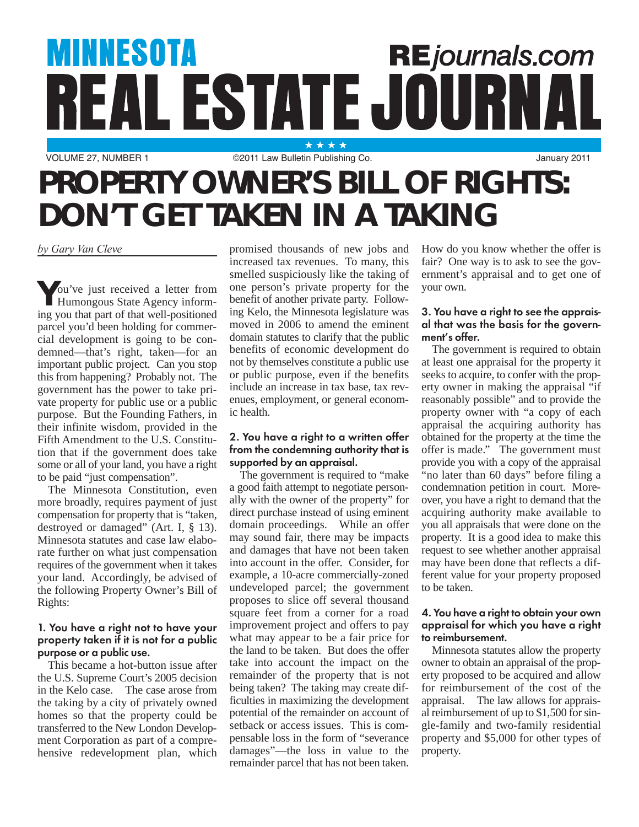# **MINNESOTA REjournals.com** REAL ESTATE JOURN

VOLUME 27, NUMBER 1 **C2011 Law Bulletin Publishing Co.** January 2011

# **PROPERTY OWNER'S BILL OF RIGHTS: DON'T GET TAKEN IN A TAKING**

*by Gary Van Cleve*

**Y**ou've just received a letter from<br>Humongous State Agency inform-<br>ing you that part of that well positioned ing you that part of that well-positioned parcel you'd been holding for commercial development is going to be condemned—that's right, taken—for an important public project. Can you stop this from happening? Probably not. The government has the power to take private property for public use or a public purpose. But the Founding Fathers, in their infinite wisdom, provided in the Fifth Amendment to the U.S. Constitution that if the government does take some or all of your land, you have a right to be paid "just compensation".

The Minnesota Constitution, even more broadly, requires payment of just compensation for property that is "taken, destroyed or damaged" (Art. I, § 13). Minnesota statutes and case law elaborate further on what just compensation requires of the government when it takes your land. Accordingly, be advised of the following Property Owner's Bill of Rights:

#### 1. You have a right not to have your property taken if it is not for a public purpose or a public use.

This became a hot-button issue after the U.S. Supreme Court's 2005 decision in the Kelo case. The case arose from the taking by a city of privately owned homes so that the property could be transferred to the New London Development Corporation as part of a comprehensive redevelopment plan, which

promised thousands of new jobs and increased tax revenues. To many, this smelled suspiciously like the taking of one person's private property for the benefit of another private party. Following Kelo, the Minnesota legislature was moved in 2006 to amend the eminent domain statutes to clarify that the public benefits of economic development do not by themselves constitute a public use or public purpose, even if the benefits include an increase in tax base, tax revenues, employment, or general economic health.

### 2. You have a right to a written offer from the condemning authority that is supported by an appraisal.

The government is required to "make a good faith attempt to negotiate personally with the owner of the property" for direct purchase instead of using eminent domain proceedings. While an offer may sound fair, there may be impacts and damages that have not been taken into account in the offer. Consider, for example, a 10-acre commercially-zoned undeveloped parcel; the government proposes to slice off several thousand square feet from a corner for a road improvement project and offers to pay what may appear to be a fair price for the land to be taken. But does the offer take into account the impact on the remainder of the property that is not being taken? The taking may create difficulties in maximizing the development potential of the remainder on account of setback or access issues. This is compensable loss in the form of "severance damages"—the loss in value to the remainder parcel that has not been taken.

How do you know whether the offer is fair? One way is to ask to see the government's appraisal and to get one of your own.

# 3. You have a right to see the appraisal that was the basis for the government's offer.

The government is required to obtain at least one appraisal for the property it seeks to acquire, to confer with the property owner in making the appraisal "if reasonably possible" and to provide the property owner with "a copy of each appraisal the acquiring authority has obtained for the property at the time the offer is made." The government must provide you with a copy of the appraisal "no later than 60 days" before filing a condemnation petition in court. Moreover, you have a right to demand that the acquiring authority make available to you all appraisals that were done on the property. It is a good idea to make this request to see whether another appraisal may have been done that reflects a different value for your property proposed to be taken.

#### 4. You have a right to obtain your own appraisal for which you have a right to reimbursement.

Minnesota statutes allow the property owner to obtain an appraisal of the property proposed to be acquired and allow for reimbursement of the cost of the appraisal. The law allows for appraisal reimbursement of up to \$1,500 for single-family and two-family residential property and \$5,000 for other types of property.